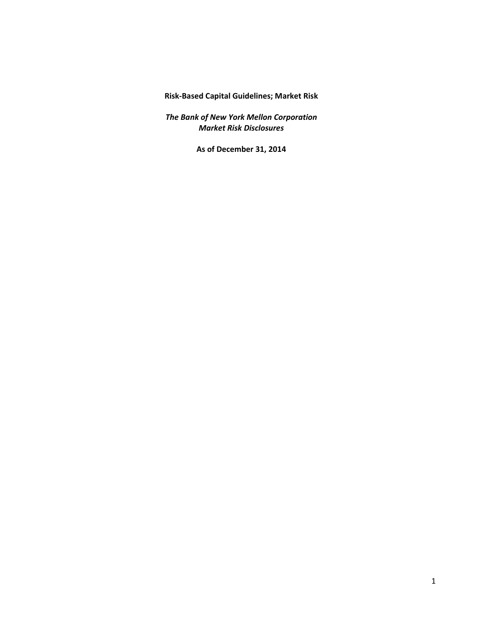**Risk‐Based Capital Guidelines; Market Risk**

*The Bank of New York Mellon Corporation Market Risk Disclosures*

**As of December 31, 2014**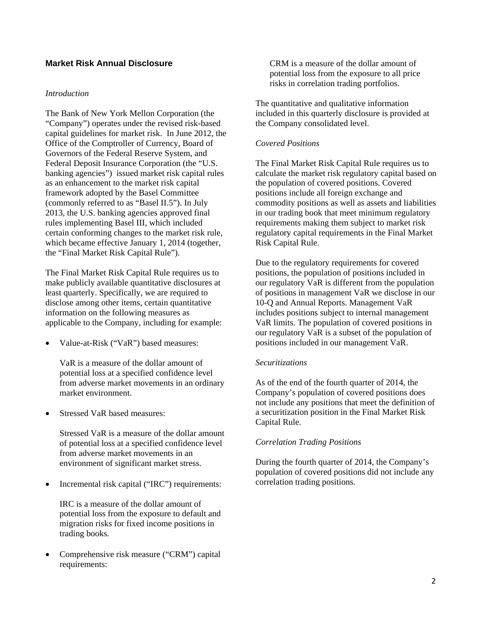# **Market Risk Annual Disclosure**

#### *Introduction*

The Bank of New York Mellon Corporation (the "Company") operates under the revised risk-based capital guidelines for market risk. In June 2012, the Office of the Comptroller of Currency, Board of Governors of the Federal Reserve System, and Federal Deposit Insurance Corporation (the "U.S. banking agencies") issued market risk capital rules as an enhancement to the market risk capital framework adopted by the Basel Committee (commonly referred to as "Basel II.5"). In July 2013, the U.S. banking agencies approved final rules implementing Basel III, which included certain conforming changes to the market risk rule, which became effective January 1, 2014 (together, the "Final Market Risk Capital Rule").

The Final Market Risk Capital Rule requires us to make publicly available quantitative disclosures at least quarterly. Specifically, we are required to disclose among other items, certain quantitative information on the following measures as applicable to the Company, including for example:

 Value-at-Risk ("VaR") based measures:

VaR is a measure of the dollar amount of potential loss at a specified confidence level from adverse market movements in an ordinary market environment.

 Stressed VaR based measures:  $\bullet$ 

> Stressed VaR is a measure of the dollar amount of potential loss at a specified confidence level from adverse market movements in an environment of significant market stress.

 Incremental risk capital ("IRC") requirements:

IRC is a measure of the dollar amount of potential loss from the exposure to default and migration risks for fixed income positions in trading books.

 Comprehensive risk measure ("CRM") capital requirements:

CRM is a measure of the dollar amount of potential loss from the exposure to all price risks in correlation trading portfolios.

The quantitative and qualitative information included in this quarterly disclosure is provided at the Company consolidated level.

## *Covered Positions*

The Final Market Risk Capital Rule requires us to calculate the market risk regulatory capital based on the population of covered positions. Covered positions include all foreign exchange and commodity positions as well as assets and liabilities in our trading book that meet minimum regulatory requirements making them subject to market risk regulatory capital requirements in the Final Market Risk Capital Rule.

Due to the regulatory requirements for covered positions, the population of positions included in our regulatory VaR is different from the population of positions in management VaR we disclose in our 10-Q and Annual Reports. Management VaR includes positions subject to internal management VaR limits. The population of covered positions in our regulatory VaR is a subset of the population of positions included in our management VaR.

## *Securitizations*

As of the end of the fourth quarter of 2014, the Company's population of covered positions does not include any positions that meet the definition of a securitization position in the Final Market Risk Capital Rule.

## *Correlation Trading Positions*

During the fourth quarter of 2014, the Company's population of covered positions did not include any correlation trading positions.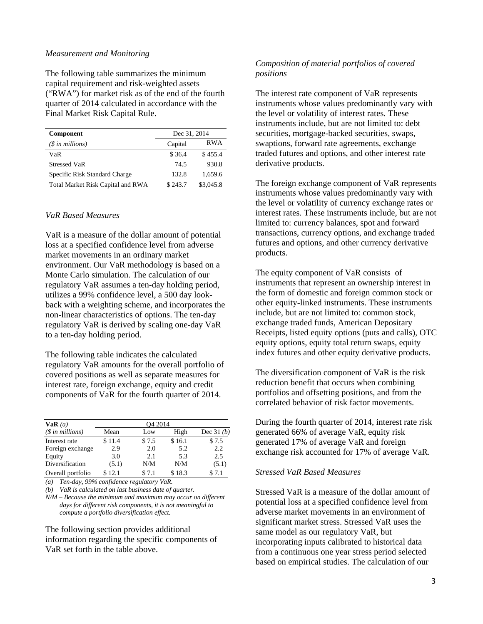#### *Measurement and Monitoring*

The following table summarizes the minimum capital requirement and risk-weighted assets ("RWA") for market risk as of the end of the fourth quarter of 2014 calculated in accordance with the Final Market Risk Capital Rule.

| <b>Component</b>                  | Dec 31, 2014 |            |
|-----------------------------------|--------------|------------|
| $(S \in \mathbb{N})$ in millions) | Capital      | <b>RWA</b> |
| VaR                               | \$36.4       | \$455.4    |
| Stressed VaR                      | 74.5         | 930.8      |
| Specific Risk Standard Charge     | 132.8        | 1.659.6    |
| Total Market Risk Capital and RWA | \$243.7      | \$3,045.8  |

#### *VaR Based Measures*

VaR is a measure of the dollar amount of potential loss at a specified confidence level from adverse market movements in an ordinary market environment. Our VaR methodology is based on a Monte Carlo simulation. The calculation of our regulatory VaR assumes a ten-day holding period, utilizes a 99% confidence level, a 500 day lookback with a weighting scheme, and incorporates the non-linear characteristics of options. The ten-day regulatory VaR is derived by scaling one-day VaR to a ten-day holding period.

The following table indicates the calculated regulatory VaR amounts for the overall portfolio of covered positions as well as separate measures for interest rate, foreign exchange, equity and credit components of VaR for the fourth quarter of 2014.

| VaR(a)             | O <sub>4</sub> 2014 |       |        |             |
|--------------------|---------------------|-------|--------|-------------|
| $(S \in millions)$ | Mean                | Low   | High   | Dec $31(b)$ |
| Interest rate      | \$11.4              | \$7.5 | \$16.1 | \$7.5       |
| Foreign exchange   | 2.9                 | 2.0   | 5.2    | 2.2         |
| Equity             | 3.0                 | 2.1   | 5.3    | 2.5         |
| Diversification    | (5.1)               | N/M   | N/M    | (5.1)       |
| Overall portfolio  | 12.1                | \$7.1 | \$18.3 | 7.1         |

*(a) Ten-day, 99% confidence regulatory VaR.* 

*(b) VaR is calculated on last business date of quarter.* 

*N/M* – *Because the minimum and maximum may occur on different days for different risk components, it is not meaningful to compute a portfolio diversification effect.* 

The following section provides additional information regarding the specific components of VaR set forth in the table above.

## *Composition of material portfolios of covered positions*

The interest rate component of VaR represents instruments whose values predominantly vary with the level or volatility of interest rates. These instruments include, but are not limited to: debt securities, mortgage-backed securities, swaps, swaptions, forward rate agreements, exchange traded futures and options, and other interest rate derivative products.

The foreign exchange component of VaR represents instruments whose values predominantly vary with the level or volatility of currency exchange rates or interest rates. These instruments include, but are not limited to: currency balances, spot and forward transactions, currency options, and exchange traded futures and options, and other currency derivative products.

The equity component of VaR consists of instruments that represent an ownership interest in the form of domestic and foreign common stock or other equity-linked instruments. These instruments include, but are not limited to: common stock, exchange traded funds, American Depositary Receipts, listed equity options (puts and calls), OTC equity options, equity total return swaps, equity index futures and other equity derivative products.

The diversification component of VaR is the risk reduction benefit that occurs when combining portfolios and offsetting positions, and from the correlated behavior of risk factor movements.

During the fourth quarter of 2014, interest rate risk generated 66% of average VaR, equity risk generated 17% of average VaR and foreign exchange risk accounted for 17% of average VaR.

## *Stressed VaR Based Measures*

Stressed VaR is a measure of the dollar amount of potential loss at a specified confidence level from adverse market movements in an environment of significant market stress. Stressed VaR uses the same model as our regulatory VaR, but incorporating inputs calibrated to historical data from a continuous one year stress period selected based on empirical studies. The calculation of our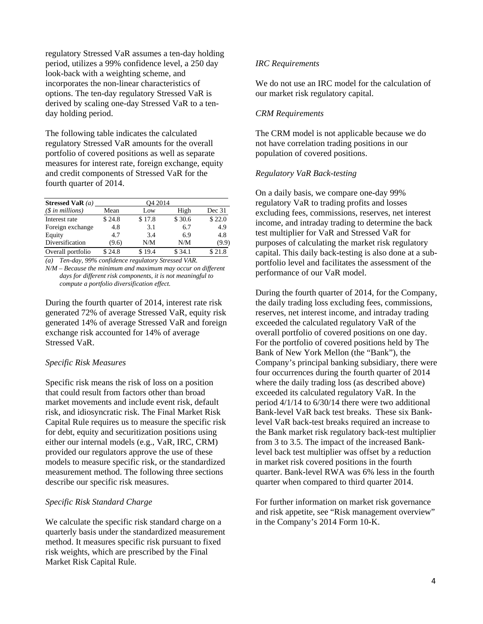regulatory Stressed VaR assumes a ten-day holding period, utilizes a 99% confidence level, a 250 day look-back with a weighting scheme, and incorporates the non-linear characteristics of options. The ten-day regulatory Stressed VaR is derived by scaling one-day Stressed VaR to a tenday holding period.

The following table indicates the calculated regulatory Stressed VaR amounts for the overall portfolio of covered positions as well as separate measures for interest rate, foreign exchange, equity and credit components of Stressed VaR for the fourth quarter of 2014.

| Stressed VaR $(a)$        | O <sub>4</sub> 2014 |        |        |        |
|---------------------------|---------------------|--------|--------|--------|
| $(\text{\$ in millions})$ | Mean                | Low    | High   | Dec 31 |
| Interest rate             | \$24.8              | \$17.8 | \$30.6 | \$22.0 |
| Foreign exchange          | 4.8                 | 3.1    | 6.7    | 4.9    |
| Equity                    | 4.7                 | 3.4    | 6.9    | 4.8    |
| Diversification           | (9.6)               | N/M    | N/M    | (9.9)  |
| Overall portfolio         | \$24.8              | \$19.4 | \$34.1 | \$21.8 |

*(a) Ten-day, 99% confidence regulatory Stressed VAR.* 

*N/M* – *Because the minimum and maximum may occur on different days for different risk components, it is not meaningful to compute a portfolio diversification effect.* 

During the fourth quarter of 2014, interest rate risk generated 72% of average Stressed VaR, equity risk generated 14% of average Stressed VaR and foreign exchange risk accounted for 14% of average Stressed VaR.

## *Specific Risk Measures*

Specific risk means the risk of loss on a position that could result from factors other than broad market movements and include event risk, default risk, and idiosyncratic risk. The Final Market Risk Capital Rule requires us to measure the specific risk for debt, equity and securitization positions using either our internal models (e.g., VaR, IRC, CRM) provided our regulators approve the use of these models to measure specific risk, or the standardized measurement method. The following three sections describe our specific risk measures.

## *Specific Risk Standard Charge*

We calculate the specific risk standard charge on a quarterly basis under the standardized measurement method. It measures specific risk pursuant to fixed risk weights, which are prescribed by the Final Market Risk Capital Rule.

## *IRC Requirements*

We do not use an IRC model for the calculation of our market risk regulatory capital.

# *CRM Requirements*

The CRM model is not applicable because we do not have correlation trading positions in our population of covered positions.

# *Regulatory VaR Back-testing*

On a daily basis, we compare one-day 99% regulatory VaR to trading profits and losses excluding fees, commissions, reserves, net interest income, and intraday trading to determine the back test multiplier for VaR and Stressed VaR for purposes of calculating the market risk regulatory capital. This daily back-testing is also done at a subportfolio level and facilitates the assessment of the performance of our VaR model.

During the fourth quarter of 2014, for the Company, the daily trading loss excluding fees, commissions, reserves, net interest income, and intraday trading exceeded the calculated regulatory VaR of the overall portfolio of covered positions on one day. For the portfolio of covered positions held by The Bank of New York Mellon (the "Bank"), the Company's principal banking subsidiary, there were four occurrences during the fourth quarter of 2014 where the daily trading loss (as described above) exceeded its calculated regulatory VaR. In the period 4/1/14 to 6/30/14 there were two additional Bank-level VaR back test breaks. These six Banklevel VaR back-test breaks required an increase to the Bank market risk regulatory back-test multiplier from 3 to 3.5. The impact of the increased Banklevel back test multiplier was offset by a reduction in market risk covered positions in the fourth quarter. Bank-level RWA was 6% less in the fourth quarter when compared to third quarter 2014.

For further information on market risk governance and risk appetite, see "Risk management overview" in the Company's 2014 Form 10-K.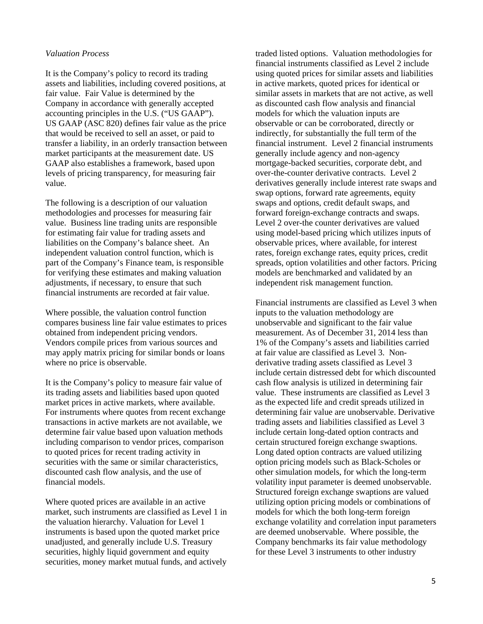#### *Valuation Process*

It is the Company's policy to record its trading assets and liabilities, including covered positions, at fair value. Fair Value is determined by the Company in accordance with generally accepted accounting principles in the U.S. ("US GAAP"). US GAAP (ASC 820) defines fair value as the price that would be received to sell an asset, or paid to transfer a liability, in an orderly transaction between market participants at the measurement date. US GAAP also establishes a framework, based upon levels of pricing transparency, for measuring fair value.

The following is a description of our valuation methodologies and processes for measuring fair value. Business line trading units are responsible for estimating fair value for trading assets and liabilities on the Company's balance sheet. An independent valuation control function, which is part of the Company's Finance team, is responsible for verifying these estimates and making valuation adjustments, if necessary, to ensure that such financial instruments are recorded at fair value.

Where possible, the valuation control function compares business line fair value estimates to prices obtained from independent pricing vendors. Vendors compile prices from various sources and may apply matrix pricing for similar bonds or loans where no price is observable.

It is the Company's policy to measure fair value of its trading assets and liabilities based upon quoted market prices in active markets, where available. For instruments where quotes from recent exchange transactions in active markets are not available, we determine fair value based upon valuation methods including comparison to vendor prices, comparison to quoted prices for recent trading activity in securities with the same or similar characteristics, discounted cash flow analysis, and the use of financial models.

Where quoted prices are available in an active market, such instruments are classified as Level 1 in the valuation hierarchy. Valuation for Level 1 instruments is based upon the quoted market price unadjusted, and generally include U.S. Treasury securities, highly liquid government and equity securities, money market mutual funds, and actively

traded listed options. Valuation methodologies for financial instruments classified as Level 2 include using quoted prices for similar assets and liabilities in active markets, quoted prices for identical or similar assets in markets that are not active, as well as discounted cash flow analysis and financial models for which the valuation inputs are observable or can be corroborated, directly or indirectly, for substantially the full term of the financial instrument. Level 2 financial instruments generally include agency and non-agency mortgage-backed securities, corporate debt, and over-the-counter derivative contracts. Level 2 derivatives generally include interest rate swaps and swap options, forward rate agreements, equity swaps and options, credit default swaps, and forward foreign-exchange contracts and swaps. Level 2 over-the counter derivatives are valued using model-based pricing which utilizes inputs of observable prices, where available, for interest rates, foreign exchange rates, equity prices, credit spreads, option volatilities and other factors. Pricing models are benchmarked and validated by an independent risk management function.

Financial instruments are classified as Level 3 when inputs to the valuation methodology are unobservable and significant to the fair value measurement. As of December 31, 2014 less than 1% of the Company's assets and liabilities carried at fair value are classified as Level 3. Nonderivative trading assets classified as Level 3 include certain distressed debt for which discounted cash flow analysis is utilized in determining fair value. These instruments are classified as Level 3 as the expected life and credit spreads utilized in determining fair value are unobservable. Derivative trading assets and liabilities classified as Level 3 include certain long-dated option contracts and certain structured foreign exchange swaptions. Long dated option contracts are valued utilizing option pricing models such as Black-Scholes or other simulation models, for which the long-term volatility input parameter is deemed unobservable. Structured foreign exchange swaptions are valued utilizing option pricing models or combinations of models for which the both long-term foreign exchange volatility and correlation input parameters are deemed unobservable. Where possible, the Company benchmarks its fair value methodology for these Level 3 instruments to other industry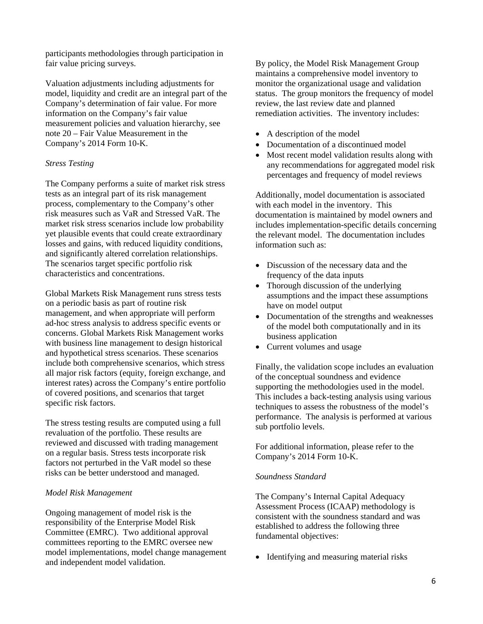participants methodologies through participation in fair value pricing surveys.

Valuation adjustments including adjustments for model, liquidity and credit are an integral part of the Company's determination of fair value. For more information on the Company's fair value measurement policies and valuation hierarchy, see note 20 – Fair Value Measurement in the Company's 2014 Form 10-K.

# *Stress Testing*

The Company performs a suite of market risk stress tests as an integral part of its risk management process, complementary to the Company's other risk measures such as VaR and Stressed VaR. The market risk stress scenarios include low probability yet plausible events that could create extraordinary losses and gains, with reduced liquidity conditions, and significantly altered correlation relationships. The scenarios target specific portfolio risk characteristics and concentrations.

Global Markets Risk Management runs stress tests on a periodic basis as part of routine risk management, and when appropriate will perform ad-hoc stress analysis to address specific events or concerns. Global Markets Risk Management works with business line management to design historical and hypothetical stress scenarios. These scenarios include both comprehensive scenarios, which stress all major risk factors (equity, foreign exchange, and interest rates) across the Company's entire portfolio of covered positions, and scenarios that target specific risk factors.

The stress testing results are computed using a full revaluation of the portfolio. These results are reviewed and discussed with trading management on a regular basis. Stress tests incorporate risk factors not perturbed in the VaR model so these risks can be better understood and managed.

## *Model Risk Management*

Ongoing management of model risk is the responsibility of the Enterprise Model Risk Committee (EMRC). Two additional approval committees reporting to the EMRC oversee new model implementations, model change management and independent model validation.

By policy, the Model Risk Management Group maintains a comprehensive model inventory to monitor the organizational usage and validation status. The group monitors the frequency of model review, the last review date and planned remediation activities. The inventory includes:

- A description of the model
- Documentation of a discontinued model
- Most recent model validation results along with any recommendations for aggregated model risk percentages and frequency of model reviews

Additionally, model documentation is associated with each model in the inventory. This documentation is maintained by model owners and includes implementation-specific details concerning the relevant model. The documentation includes information such as:

- Discussion of the necessary data and the frequency of the data inputs
- Thorough discussion of the underlying assumptions and the impact these assumptions have on model output
- Documentation of the strengths and weaknesses of the model both computationally and in its business application
- Current volumes and usage

Finally, the validation scope includes an evaluation of the conceptual soundness and evidence supporting the methodologies used in the model. This includes a back-testing analysis using various techniques to assess the robustness of the model's performance. The analysis is performed at various sub portfolio levels.

For additional information, please refer to the Company's 2014 Form 10-K.

## *Soundness Standard*

The Company's Internal Capital Adequacy Assessment Process (ICAAP) methodology is consistent with the soundness standard and was established to address the following three fundamental objectives:

• Identifying and measuring material risks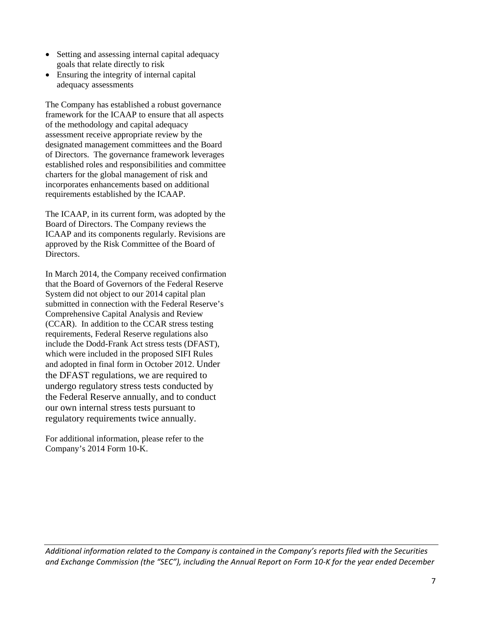- Setting and assessing internal capital adequacy goals that relate directly to risk
- Ensuring the integrity of internal capital adequacy assessments

The Company has established a robust governance framework for the ICAAP to ensure that all aspects of the methodology and capital adequacy assessment receive appropriate review by the designated management committees and the Board of Directors. The governance framework leverages established roles and responsibilities and committee charters for the global management of risk and incorporates enhancements based on additional requirements established by the ICAAP.

The ICAAP, in its current form, was adopted by the Board of Directors. The Company reviews the ICAAP and its components regularly. Revisions are approved by the Risk Committee of the Board of Directors.

In March 2014, the Company received confirmation that the Board of Governors of the Federal Reserve System did not object to our 2014 capital plan submitted in connection with the Federal Reserve's Comprehensive Capital Analysis and Review (CCAR). In addition to the CCAR stress testing requirements, Federal Reserve regulations also include the Dodd-Frank Act stress tests (DFAST), which were included in the proposed SIFI Rules and adopted in final form in October 2012. Under the DFAST regulations, we are required to undergo regulatory stress tests conducted by the Federal Reserve annually, and to conduct our own internal stress tests pursuant to regulatory requirements twice annually.

For additional information, please refer to the Company's 2014 Form 10-K.

*Additional information related to the Company is contained in the Company's reports filed with the Securities* and Exchange Commission (the "SEC"), including the Annual Report on Form 10-K for the year ended December